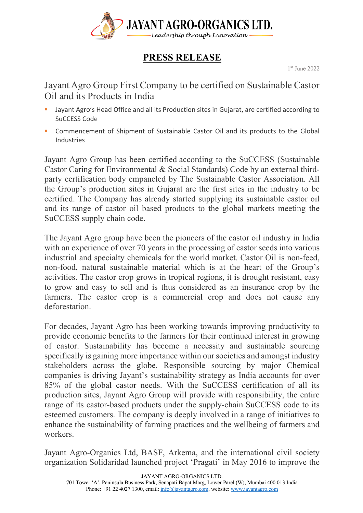

## **PRESS RELEASE**

1st June 2022

Jayant Agro Group First Company to be certified on Sustainable Castor Oil and its Products in India

- Jayant Agro's Head Office and all its Production sites in Gujarat, are certified according to SuCCESS Code
- § Commencement of Shipment of Sustainable Castor Oil and its products to the Global Industries

Jayant Agro Group has been certified according to the SuCCESS (Sustainable Castor Caring for Environmental & Social Standards) Code by an external thirdparty certification body empaneled by The Sustainable Castor Association. All the Group's production sites in Gujarat are the first sites in the industry to be certified. The Company has already started supplying its sustainable castor oil and its range of castor oil based products to the global markets meeting the SuCCESS supply chain code.

The Jayant Agro group have been the pioneers of the castor oil industry in India with an experience of over 70 years in the processing of castor seeds into various industrial and specialty chemicals for the world market. Castor Oil is non-feed, non-food, natural sustainable material which is at the heart of the Group's activities. The castor crop grows in tropical regions, it is drought resistant, easy to grow and easy to sell and is thus considered as an insurance crop by the farmers. The castor crop is a commercial crop and does not cause any deforestation.

For decades, Jayant Agro has been working towards improving productivity to provide economic benefits to the farmers for their continued interest in growing of castor. Sustainability has become a necessity and sustainable sourcing specifically is gaining more importance within our societies and amongst industry stakeholders across the globe. Responsible sourcing by major Chemical companies is driving Jayant's sustainability strategy as India accounts for over 85% of the global castor needs. With the SuCCESS certification of all its production sites, Jayant Agro Group will provide with responsibility, the entire range of its castor-based products under the supply-chain SuCCESS code to its esteemed customers. The company is deeply involved in a range of initiatives to enhance the sustainability of farming practices and the wellbeing of farmers and workers.

Jayant Agro-Organics Ltd, BASF, Arkema, and the international civil society organization Solidaridad launched project 'Pragati' in May 2016 to improve the